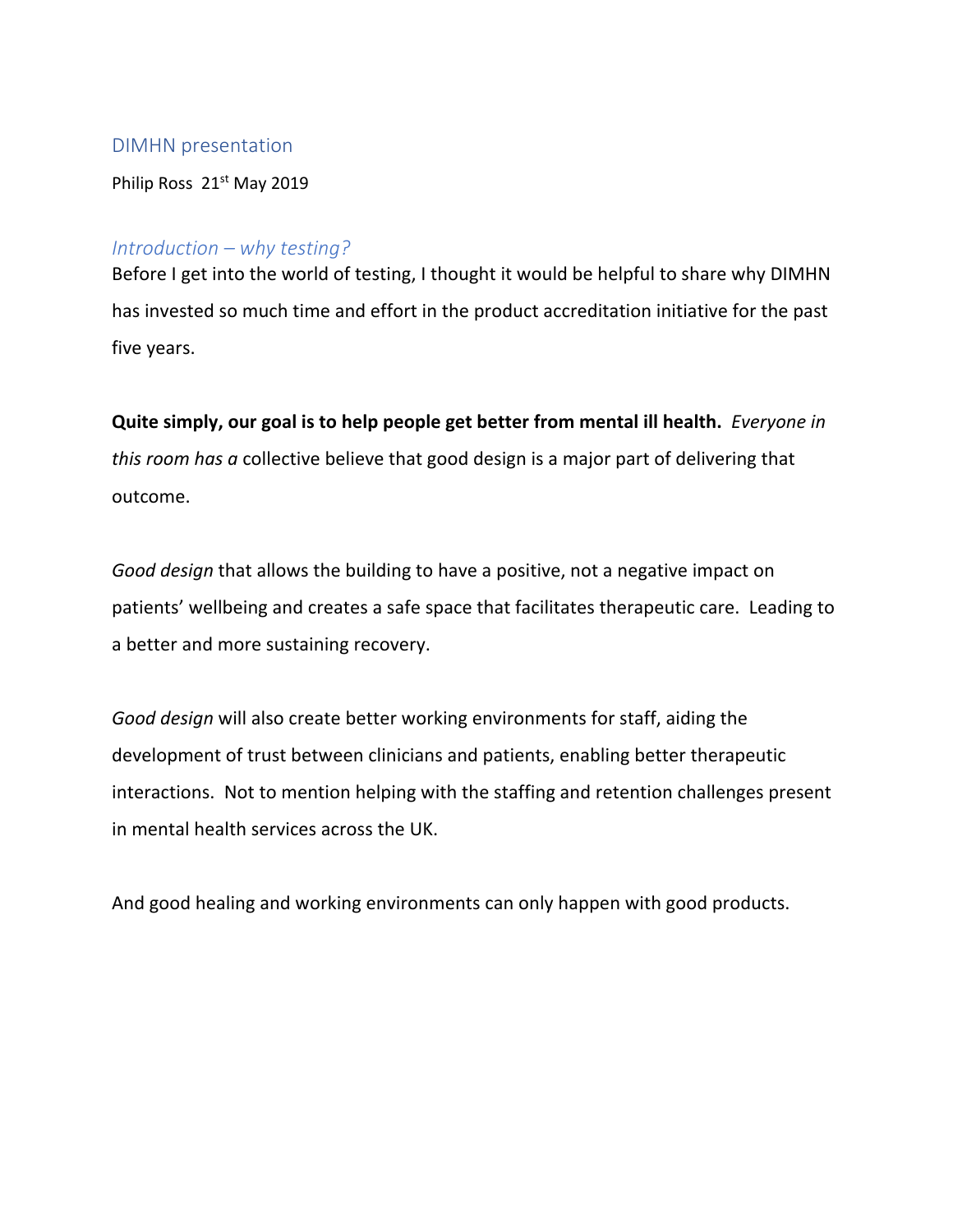#### DIMHN presentation

Philip Ross 21<sup>st</sup> May 2019

### *Introduction – why testing?*

Before I get into the world of testing, I thought it would be helpful to share why DIMHN has invested so much time and effort in the product accreditation initiative for the past five years.

# **Quite simply, our goal is to help people get better from mental ill health.** *Everyone in*

*this room has a* collective believe that good design is a major part of delivering that outcome.

*Good design* that allows the building to have a positive, not a negative impact on patients' wellbeing and creates a safe space that facilitates therapeutic care. Leading to a better and more sustaining recovery.

*Good design* will also create better working environments for staff, aiding the development of trust between clinicians and patients, enabling better therapeutic interactions. Not to mention helping with the staffing and retention challenges present in mental health services across the UK.

And good healing and working environments can only happen with good products.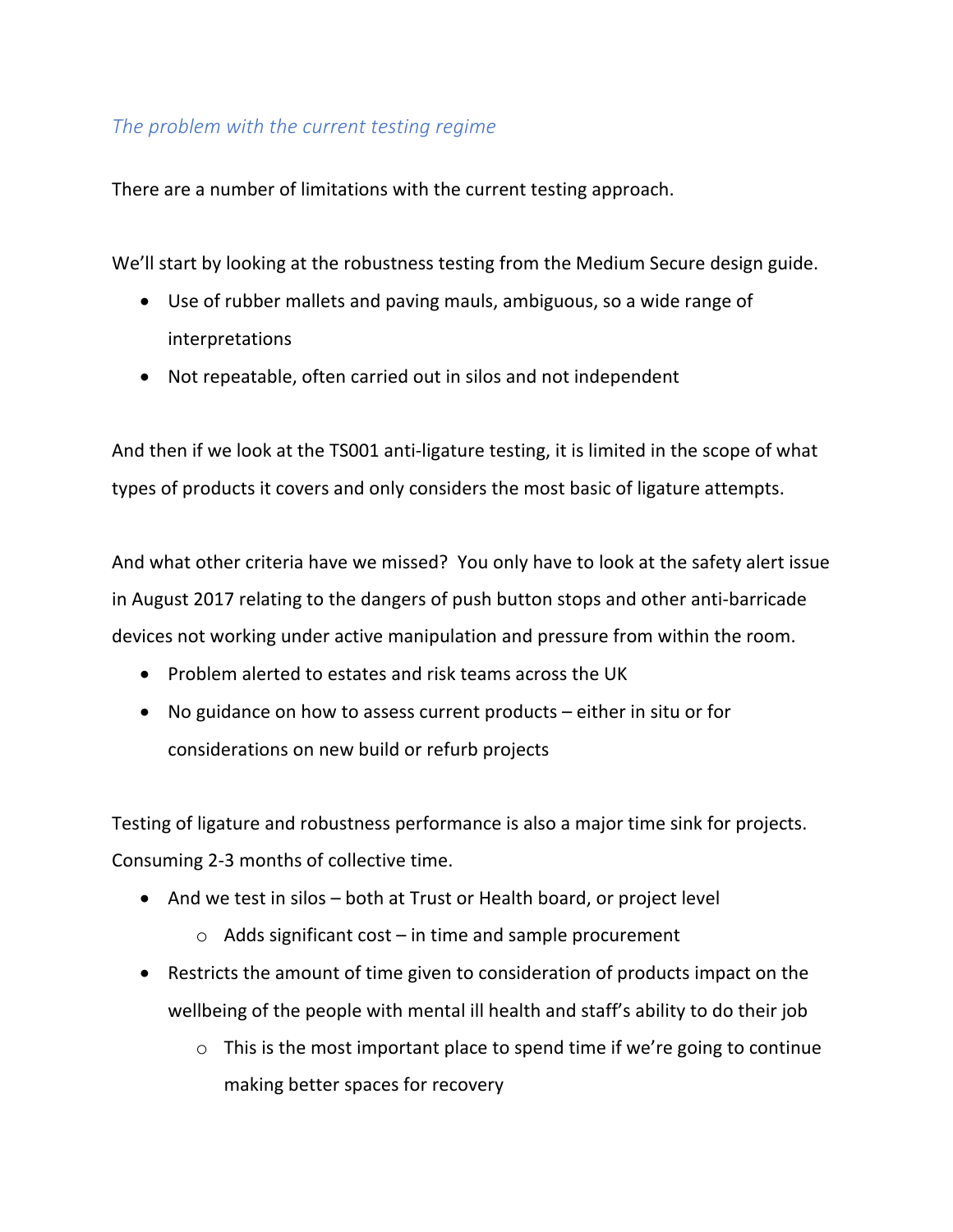## *The problem with the current testing regime*

There are a number of limitations with the current testing approach.

We'll start by looking at the robustness testing from the Medium Secure design guide.

- Use of rubber mallets and paving mauls, ambiguous, so a wide range of interpretations
- Not repeatable, often carried out in silos and not independent

And then if we look at the TS001 anti-ligature testing, it is limited in the scope of what types of products it covers and only considers the most basic of ligature attempts.

And what other criteria have we missed? You only have to look at the safety alert issue in August 2017 relating to the dangers of push button stops and other anti-barricade devices not working under active manipulation and pressure from within the room.

- Problem alerted to estates and risk teams across the UK
- No guidance on how to assess current products either in situ or for considerations on new build or refurb projects

Testing of ligature and robustness performance is also a major time sink for projects. Consuming 2-3 months of collective time.

- And we test in silos both at Trust or Health board, or project level
	- $\circ$  Adds significant cost in time and sample procurement
- Restricts the amount of time given to consideration of products impact on the wellbeing of the people with mental ill health and staff's ability to do their job
	- $\circ$  This is the most important place to spend time if we're going to continue making better spaces for recovery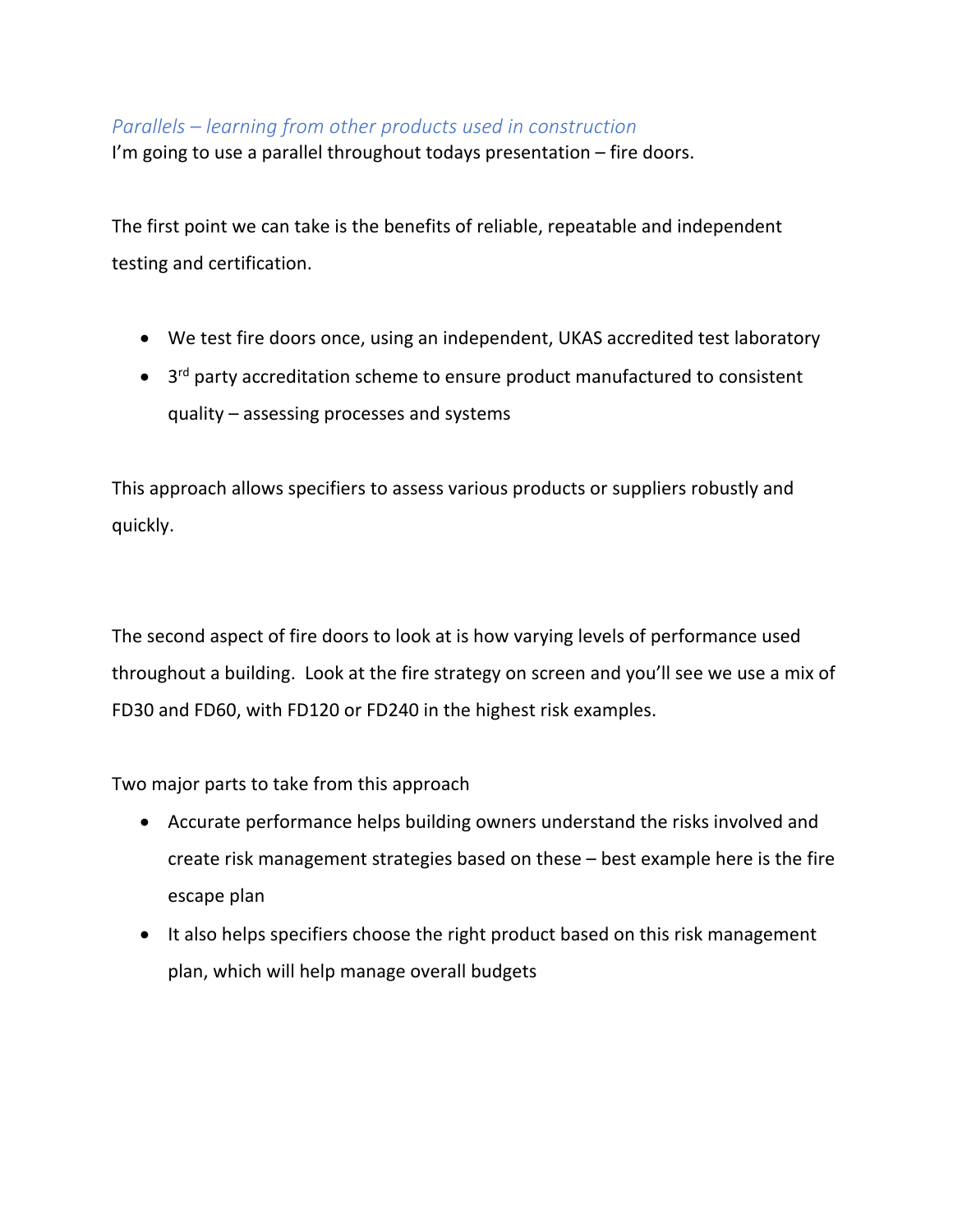## *Parallels – learning from other products used in construction*

I'm going to use a parallel throughout todays presentation – fire doors.

The first point we can take is the benefits of reliable, repeatable and independent testing and certification.

- We test fire doors once, using an independent, UKAS accredited test laboratory
- 3rd party accreditation scheme to ensure product manufactured to consistent quality – assessing processes and systems

This approach allows specifiers to assess various products or suppliers robustly and quickly.

The second aspect of fire doors to look at is how varying levels of performance used throughout a building. Look at the fire strategy on screen and you'll see we use a mix of FD30 and FD60, with FD120 or FD240 in the highest risk examples.

Two major parts to take from this approach

- Accurate performance helps building owners understand the risks involved and create risk management strategies based on these – best example here is the fire escape plan
- It also helps specifiers choose the right product based on this risk management plan, which will help manage overall budgets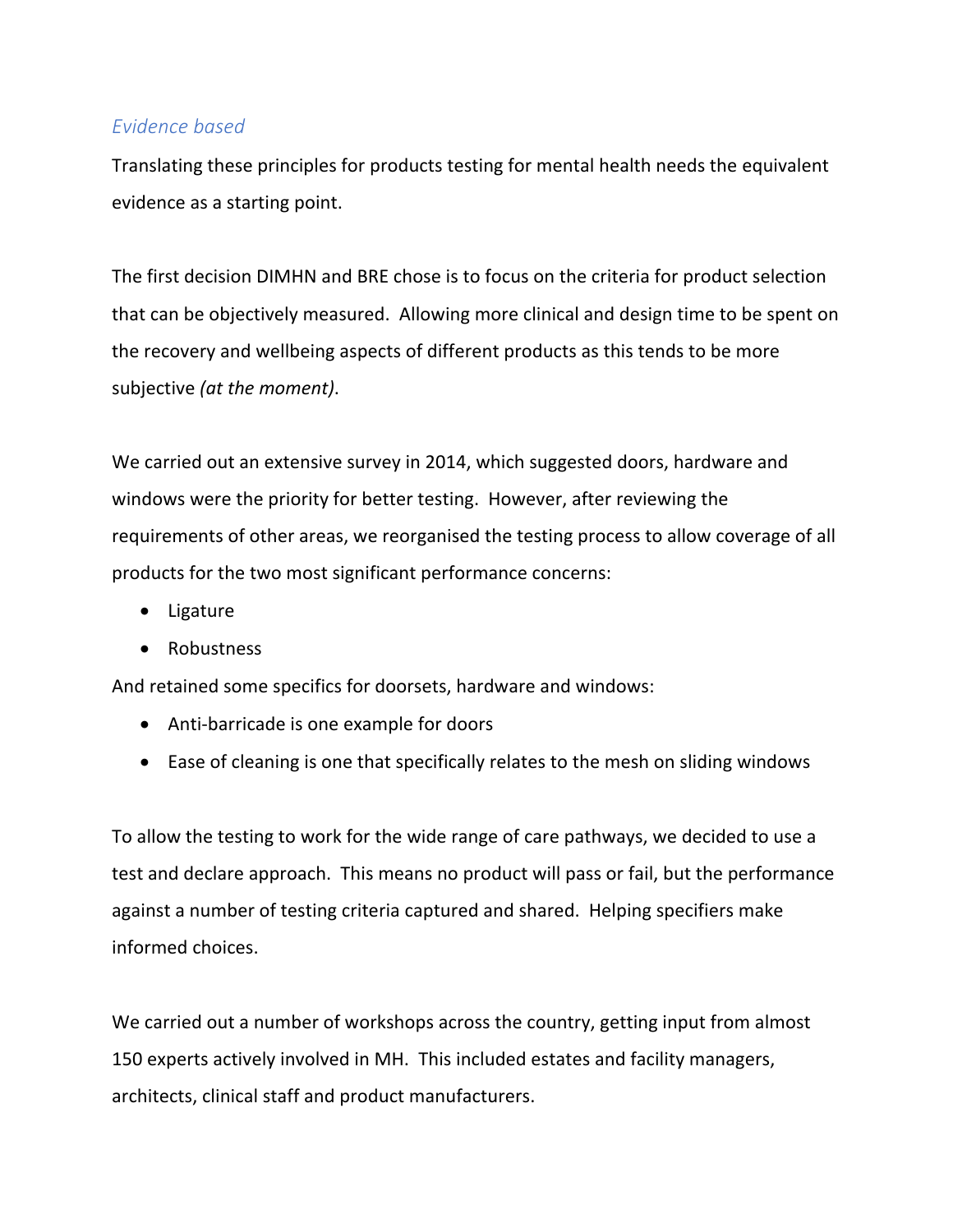### *Evidence based*

Translating these principles for products testing for mental health needs the equivalent evidence as a starting point.

The first decision DIMHN and BRE chose is to focus on the criteria for product selection that can be objectively measured. Allowing more clinical and design time to be spent on the recovery and wellbeing aspects of different products as this tends to be more subjective *(at the moment)*.

We carried out an extensive survey in 2014, which suggested doors, hardware and windows were the priority for better testing. However, after reviewing the requirements of other areas, we reorganised the testing process to allow coverage of all products for the two most significant performance concerns:

- Ligature
- Robustness

And retained some specifics for doorsets, hardware and windows:

- Anti-barricade is one example for doors
- Ease of cleaning is one that specifically relates to the mesh on sliding windows

To allow the testing to work for the wide range of care pathways, we decided to use a test and declare approach. This means no product will pass or fail, but the performance against a number of testing criteria captured and shared. Helping specifiers make informed choices.

We carried out a number of workshops across the country, getting input from almost 150 experts actively involved in MH. This included estates and facility managers, architects, clinical staff and product manufacturers.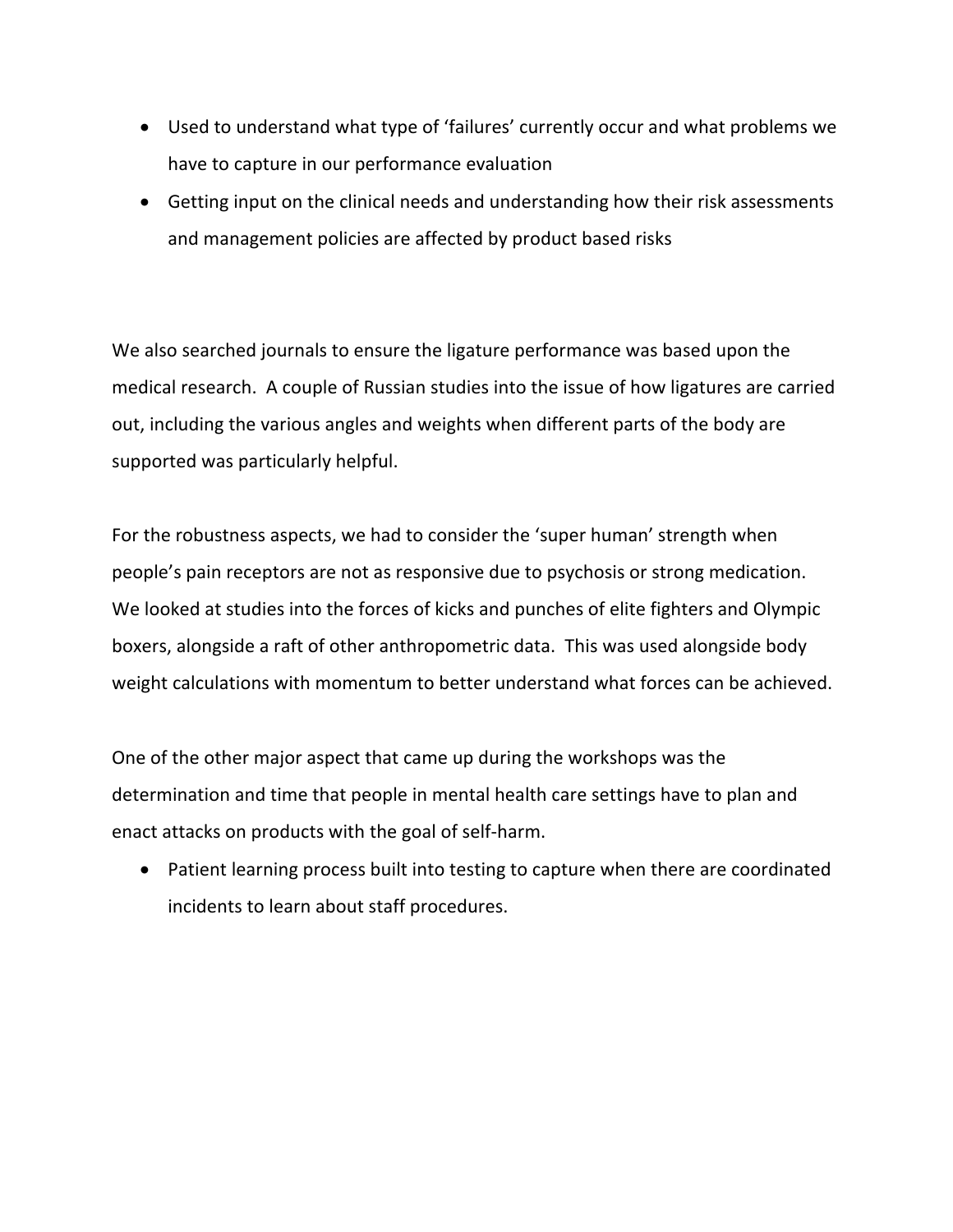- Used to understand what type of 'failures' currently occur and what problems we have to capture in our performance evaluation
- Getting input on the clinical needs and understanding how their risk assessments and management policies are affected by product based risks

We also searched journals to ensure the ligature performance was based upon the medical research. A couple of Russian studies into the issue of how ligatures are carried out, including the various angles and weights when different parts of the body are supported was particularly helpful.

For the robustness aspects, we had to consider the 'super human' strength when people's pain receptors are not as responsive due to psychosis or strong medication. We looked at studies into the forces of kicks and punches of elite fighters and Olympic boxers, alongside a raft of other anthropometric data. This was used alongside body weight calculations with momentum to better understand what forces can be achieved.

One of the other major aspect that came up during the workshops was the determination and time that people in mental health care settings have to plan and enact attacks on products with the goal of self-harm.

• Patient learning process built into testing to capture when there are coordinated incidents to learn about staff procedures.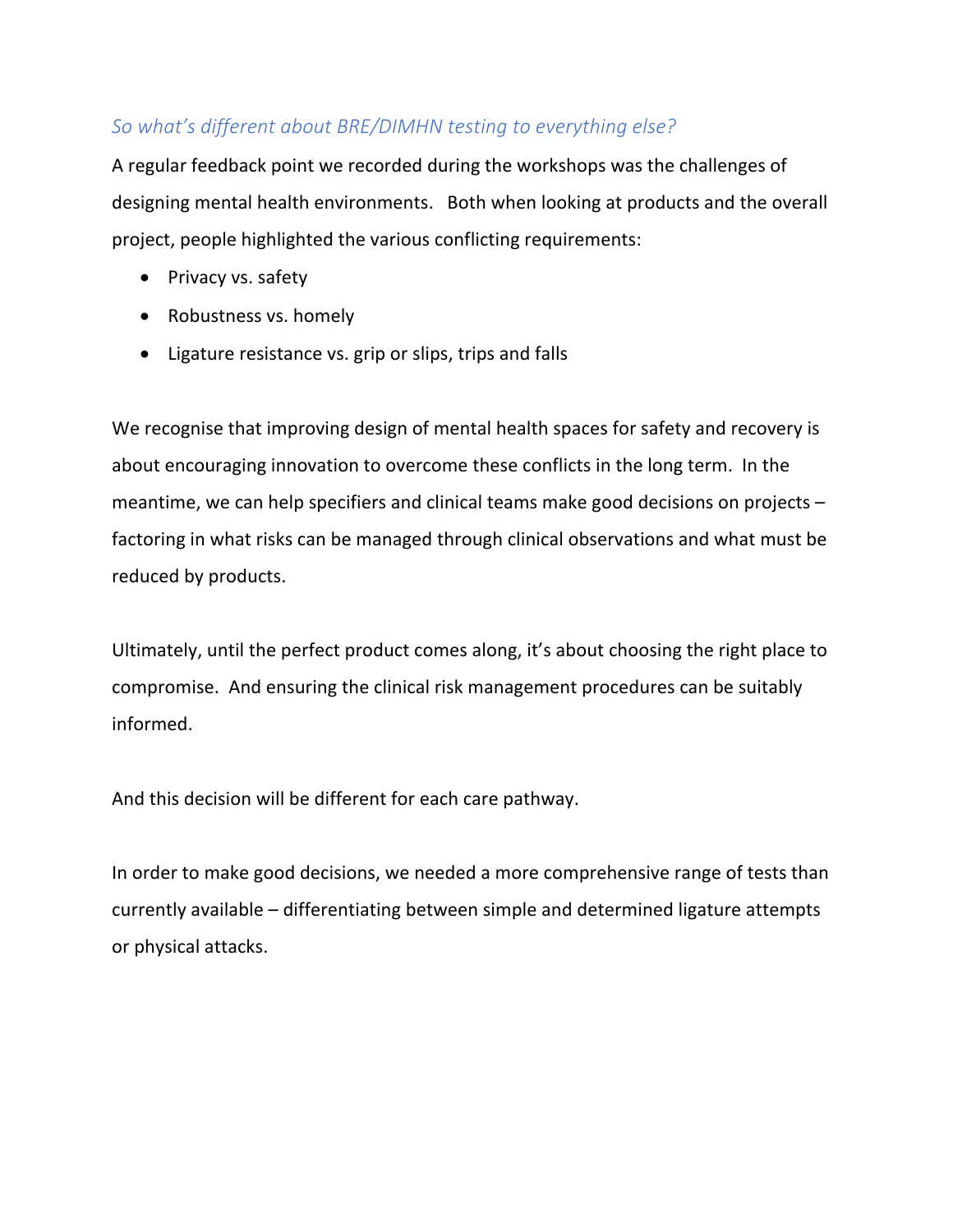## *So what's different about BRE/DIMHN testing to everything else?*

A regular feedback point we recorded during the workshops was the challenges of designing mental health environments. Both when looking at products and the overall project, people highlighted the various conflicting requirements:

- Privacy vs. safety
- Robustness vs. homely
- Ligature resistance vs. grip or slips, trips and falls

We recognise that improving design of mental health spaces for safety and recovery is about encouraging innovation to overcome these conflicts in the long term. In the meantime, we can help specifiers and clinical teams make good decisions on projects – factoring in what risks can be managed through clinical observations and what must be reduced by products.

Ultimately, until the perfect product comes along, it's about choosing the right place to compromise. And ensuring the clinical risk management procedures can be suitably informed.

And this decision will be different for each care pathway.

In order to make good decisions, we needed a more comprehensive range of tests than currently available – differentiating between simple and determined ligature attempts or physical attacks.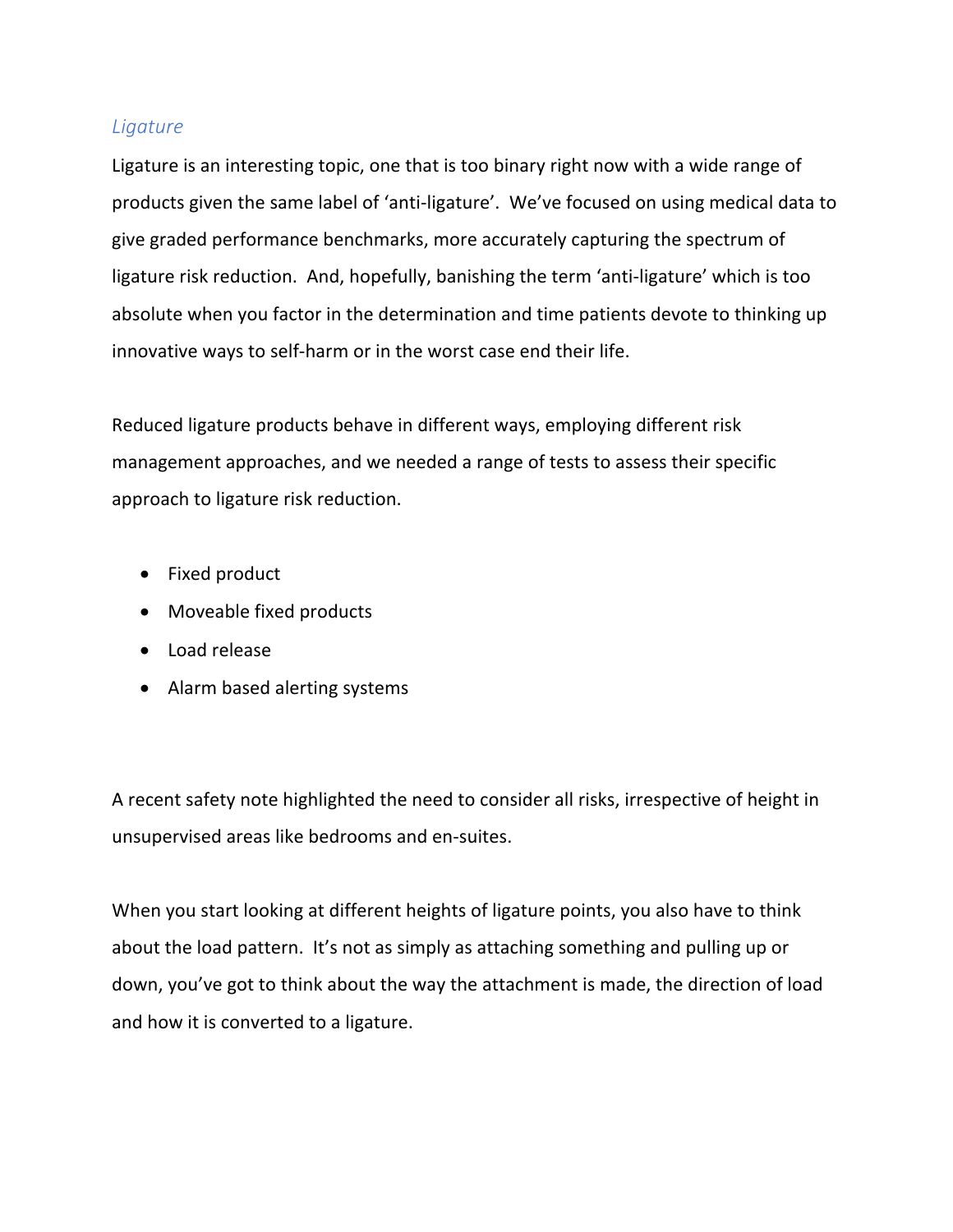### *Ligature*

Ligature is an interesting topic, one that is too binary right now with a wide range of products given the same label of 'anti-ligature'. We've focused on using medical data to give graded performance benchmarks, more accurately capturing the spectrum of ligature risk reduction. And, hopefully, banishing the term 'anti-ligature' which is too absolute when you factor in the determination and time patients devote to thinking up innovative ways to self-harm or in the worst case end their life.

Reduced ligature products behave in different ways, employing different risk management approaches, and we needed a range of tests to assess their specific approach to ligature risk reduction.

- Fixed product
- Moveable fixed products
- Load release
- Alarm based alerting systems

A recent safety note highlighted the need to consider all risks, irrespective of height in unsupervised areas like bedrooms and en-suites.

When you start looking at different heights of ligature points, you also have to think about the load pattern. It's not as simply as attaching something and pulling up or down, you've got to think about the way the attachment is made, the direction of load and how it is converted to a ligature.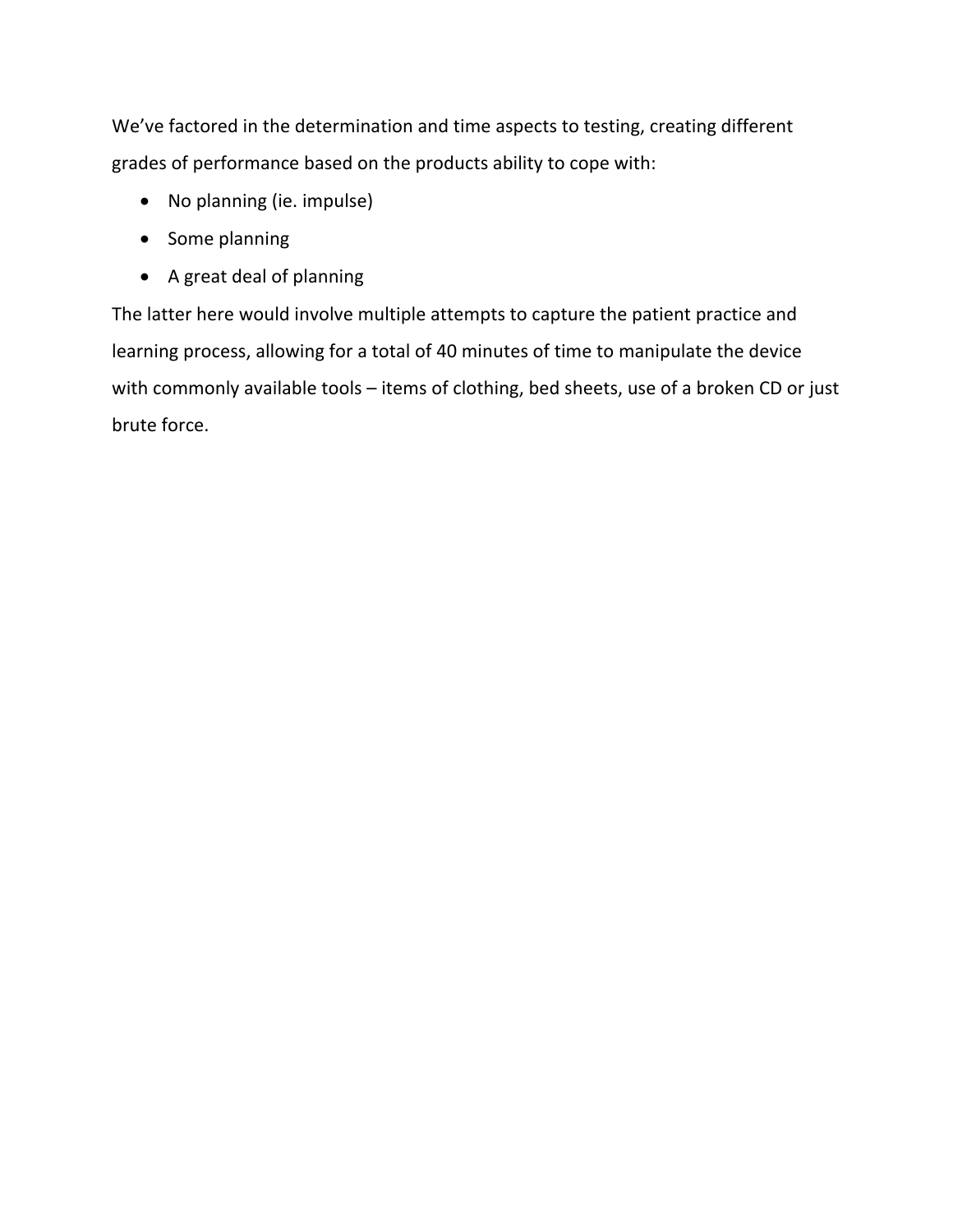We've factored in the determination and time aspects to testing, creating different grades of performance based on the products ability to cope with:

- No planning (ie. impulse)
- Some planning
- A great deal of planning

The latter here would involve multiple attempts to capture the patient practice and learning process, allowing for a total of 40 minutes of time to manipulate the device with commonly available tools - items of clothing, bed sheets, use of a broken CD or just brute force.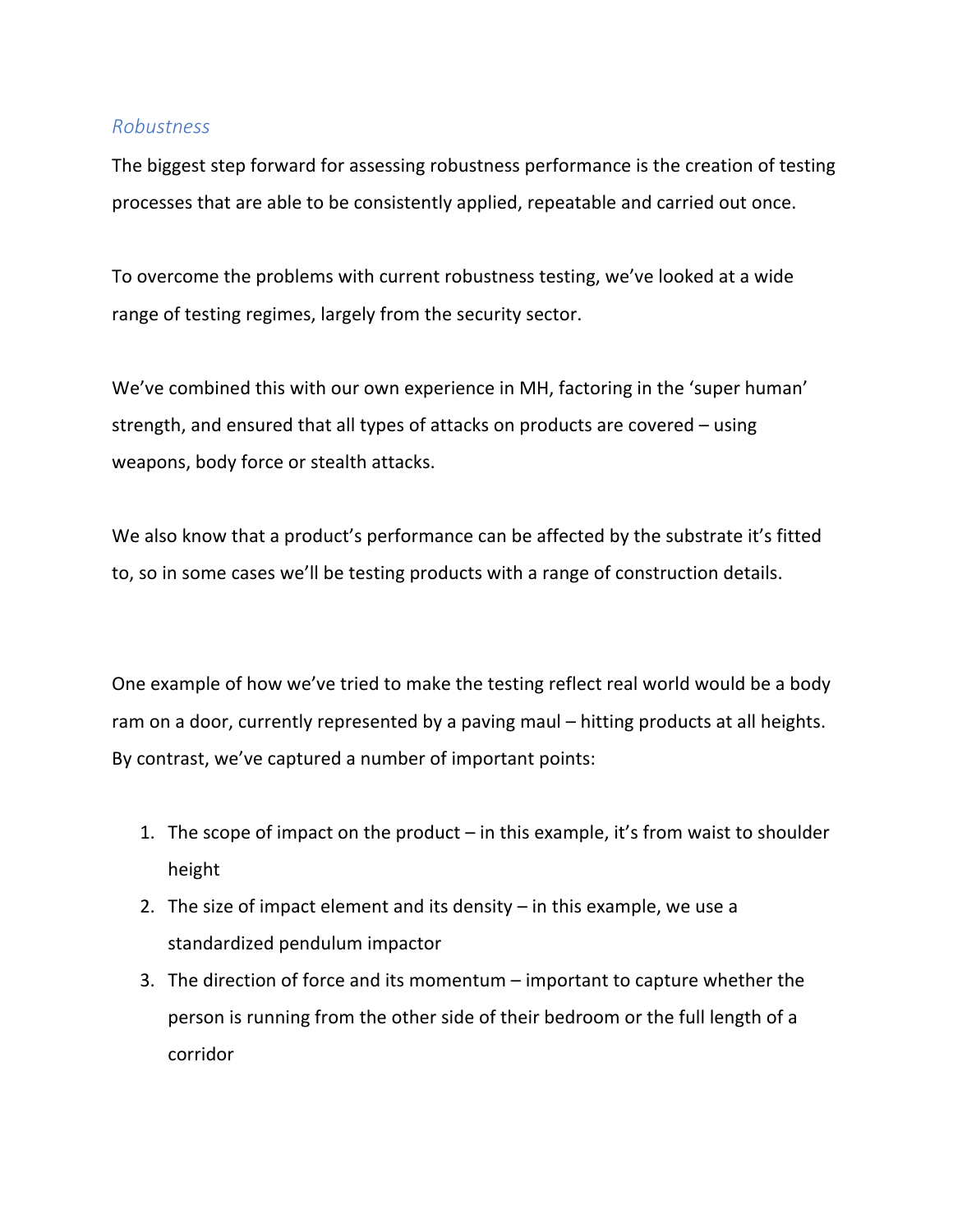#### *Robustness*

The biggest step forward for assessing robustness performance is the creation of testing processes that are able to be consistently applied, repeatable and carried out once.

To overcome the problems with current robustness testing, we've looked at a wide range of testing regimes, largely from the security sector.

We've combined this with our own experience in MH, factoring in the 'super human' strength, and ensured that all types of attacks on products are covered – using weapons, body force or stealth attacks.

We also know that a product's performance can be affected by the substrate it's fitted to, so in some cases we'll be testing products with a range of construction details.

One example of how we've tried to make the testing reflect real world would be a body ram on a door, currently represented by a paving maul – hitting products at all heights. By contrast, we've captured a number of important points:

- 1. The scope of impact on the product in this example, it's from waist to shoulder height
- 2. The size of impact element and its density in this example, we use a standardized pendulum impactor
- 3. The direction of force and its momentum important to capture whether the person is running from the other side of their bedroom or the full length of a corridor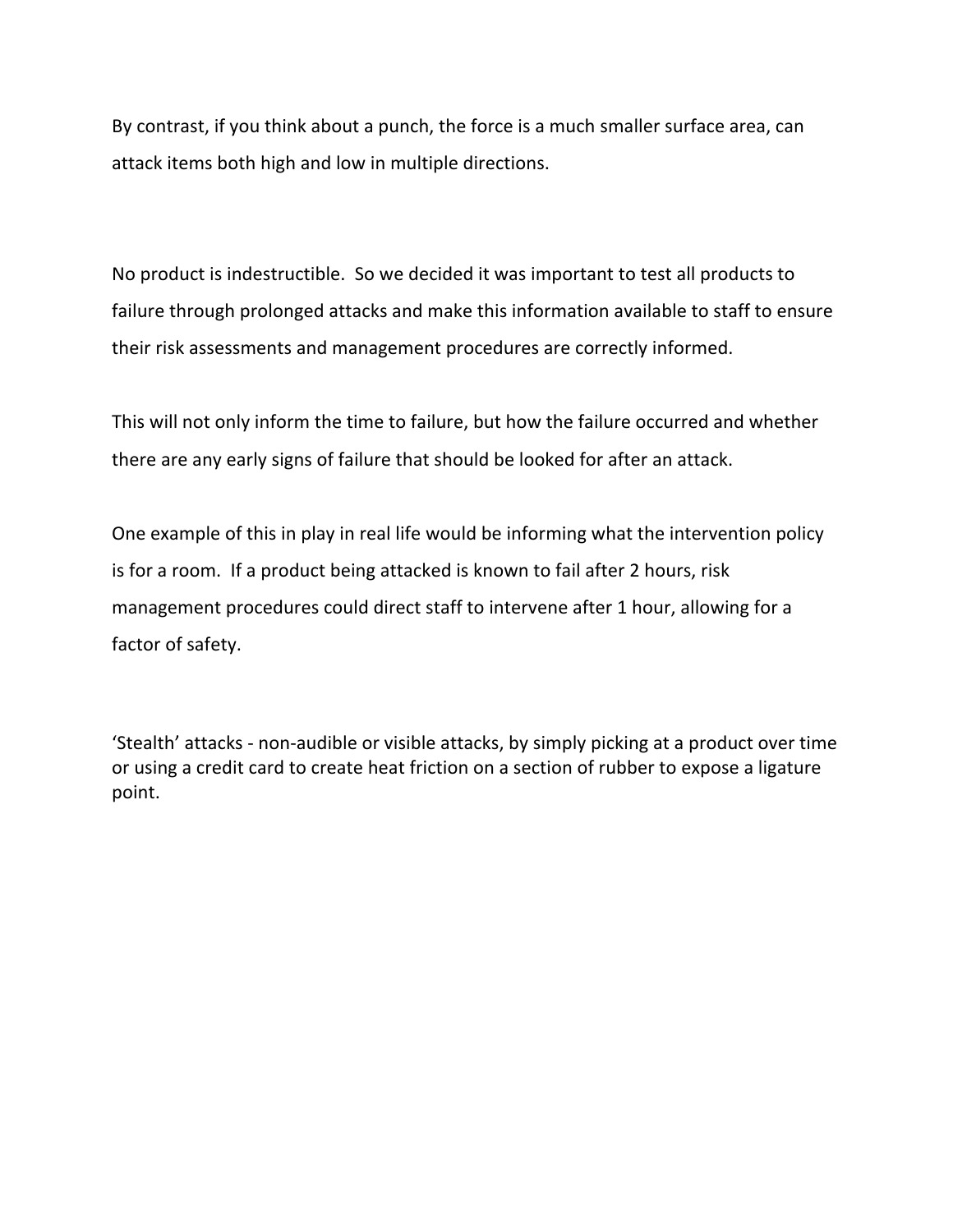By contrast, if you think about a punch, the force is a much smaller surface area, can attack items both high and low in multiple directions.

No product is indestructible. So we decided it was important to test all products to failure through prolonged attacks and make this information available to staff to ensure their risk assessments and management procedures are correctly informed.

This will not only inform the time to failure, but how the failure occurred and whether there are any early signs of failure that should be looked for after an attack.

One example of this in play in real life would be informing what the intervention policy is for a room. If a product being attacked is known to fail after 2 hours, risk management procedures could direct staff to intervene after 1 hour, allowing for a factor of safety.

'Stealth' attacks - non-audible or visible attacks, by simply picking at a product over time or using a credit card to create heat friction on a section of rubber to expose a ligature point.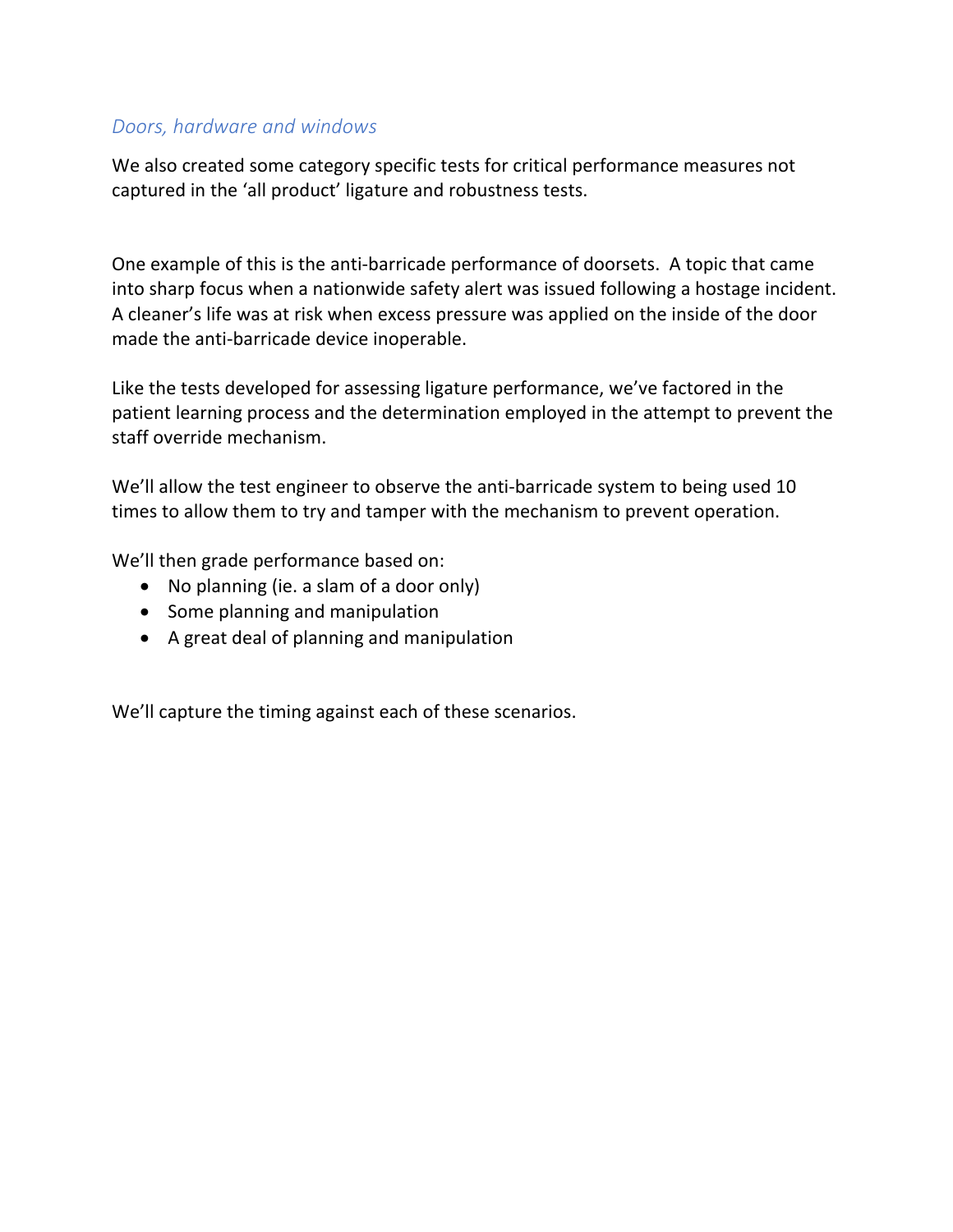## *Doors, hardware and windows*

We also created some category specific tests for critical performance measures not captured in the 'all product' ligature and robustness tests.

One example of this is the anti-barricade performance of doorsets. A topic that came into sharp focus when a nationwide safety alert was issued following a hostage incident. A cleaner's life was at risk when excess pressure was applied on the inside of the door made the anti-barricade device inoperable.

Like the tests developed for assessing ligature performance, we've factored in the patient learning process and the determination employed in the attempt to prevent the staff override mechanism.

We'll allow the test engineer to observe the anti-barricade system to being used 10 times to allow them to try and tamper with the mechanism to prevent operation.

We'll then grade performance based on:

- No planning (ie. a slam of a door only)
- Some planning and manipulation
- A great deal of planning and manipulation

We'll capture the timing against each of these scenarios.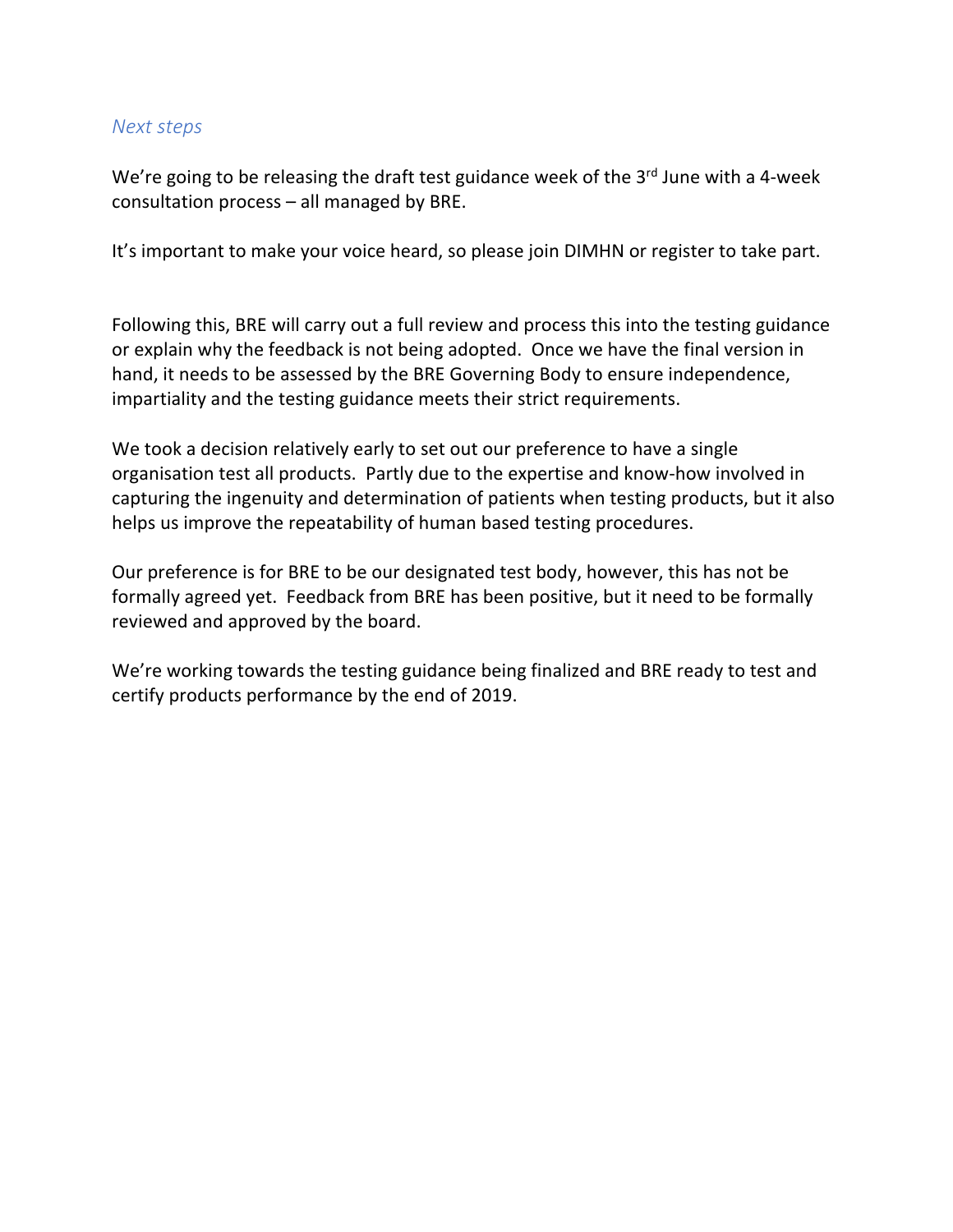### *Next steps*

We're going to be releasing the draft test guidance week of the 3rd June with a 4-week consultation process – all managed by BRE.

It's important to make your voice heard, so please join DIMHN or register to take part.

Following this, BRE will carry out a full review and process this into the testing guidance or explain why the feedback is not being adopted. Once we have the final version in hand, it needs to be assessed by the BRE Governing Body to ensure independence, impartiality and the testing guidance meets their strict requirements.

We took a decision relatively early to set out our preference to have a single organisation test all products. Partly due to the expertise and know-how involved in capturing the ingenuity and determination of patients when testing products, but it also helps us improve the repeatability of human based testing procedures.

Our preference is for BRE to be our designated test body, however, this has not be formally agreed yet. Feedback from BRE has been positive, but it need to be formally reviewed and approved by the board.

We're working towards the testing guidance being finalized and BRE ready to test and certify products performance by the end of 2019.